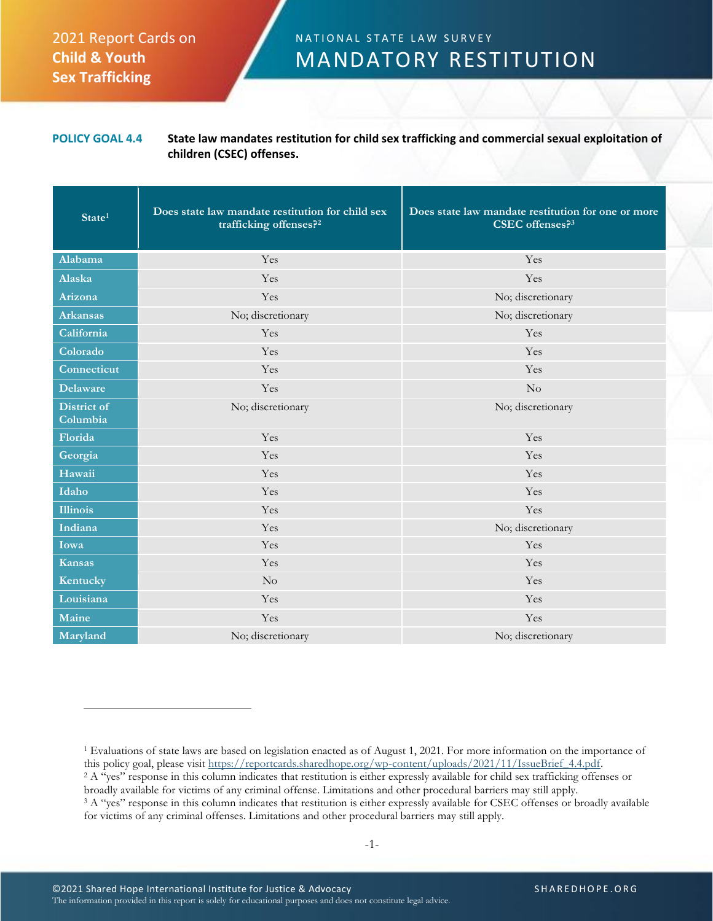## 2021 Report Cards on **Child & Youth Sex Trafficking**

## N A T I O N A L S T A T E L A W SURVEY MANDATORY RESTITUTION

## **POLICY GOAL 4.4 State law mandates restitution for child sex trafficking and commercial sexual exploitation of children (CSEC) offenses.**

| State <sup>1</sup>      | Does state law mandate restitution for child sex<br>trafficking offenses? <sup>2</sup> | Does state law mandate restitution for one or more<br>CSEC offenses? <sup>3</sup> |
|-------------------------|----------------------------------------------------------------------------------------|-----------------------------------------------------------------------------------|
| Alabama                 | Yes                                                                                    | Yes                                                                               |
| Alaska                  | Yes                                                                                    | Yes                                                                               |
| Arizona                 | Yes                                                                                    | No; discretionary                                                                 |
| <b>Arkansas</b>         | No; discretionary                                                                      | No; discretionary                                                                 |
| California              | Yes                                                                                    | Yes                                                                               |
| Colorado                | Yes                                                                                    | Yes                                                                               |
| Connecticut             | Yes                                                                                    | Yes                                                                               |
| <b>Delaware</b>         | Yes                                                                                    | $\rm No$                                                                          |
| District of<br>Columbia | No; discretionary                                                                      | No; discretionary                                                                 |
| Florida                 | Yes                                                                                    | Yes                                                                               |
| Georgia                 | Yes                                                                                    | Yes                                                                               |
| Hawaii                  | Yes                                                                                    | Yes                                                                               |
| Idaho                   | Yes                                                                                    | Yes                                                                               |
| <b>Illinois</b>         | Yes                                                                                    | Yes                                                                               |
| Indiana                 | Yes                                                                                    | No; discretionary                                                                 |
| Iowa                    | Yes                                                                                    | Yes                                                                               |
| <b>Kansas</b>           | Yes                                                                                    | Yes                                                                               |
| Kentucky                | $\rm No$                                                                               | Yes                                                                               |
| Louisiana               | Yes                                                                                    | Yes                                                                               |
| Maine                   | Yes                                                                                    | Yes                                                                               |
| Maryland                | No; discretionary                                                                      | No; discretionary                                                                 |

<sup>&</sup>lt;sup>1</sup> Evaluations of state laws are based on legislation enacted as of August 1, 2021. For more information on the importance of this policy goal, please visit https://reportcards.sharedhope.org/wp-content/uploads/2021/11/IssueBrief\_4.4.pdf.

<sup>2</sup> A "yes" response in this column indicates that restitution is either expressly available for child sex trafficking offenses or broadly available for victims of any criminal offense. Limitations and other procedural barriers may still apply.

<sup>&</sup>lt;sup>3</sup> A "yes" response in this column indicates that restitution is either expressly available for CSEC offenses or broadly available for victims of any criminal offenses. Limitations and other procedural barriers may still apply.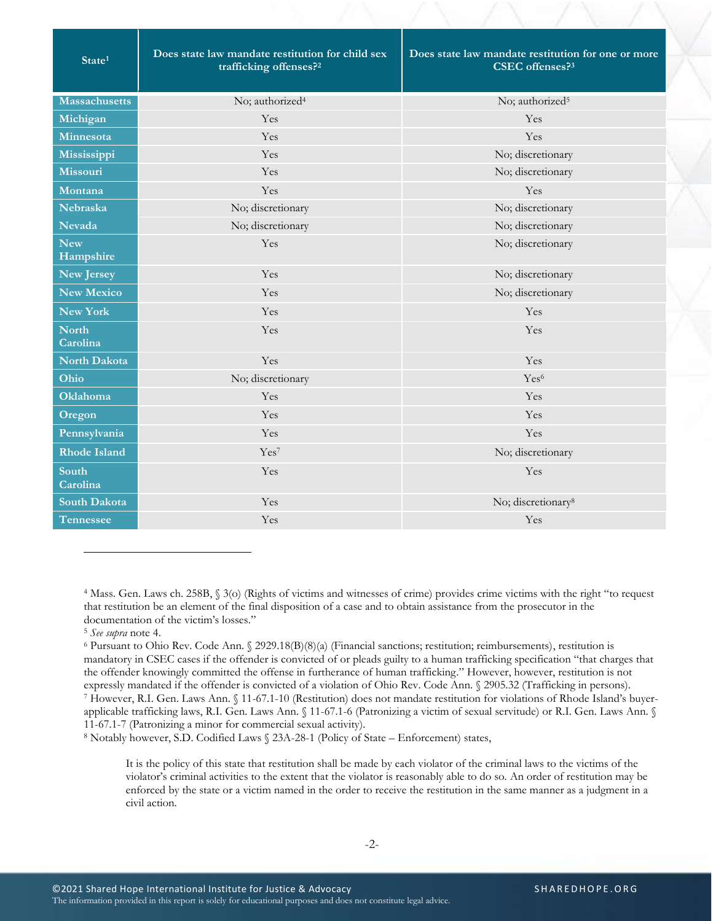<span id="page-1-0"></span>

| State <sup>1</sup>       | Does state law mandate restitution for child sex<br>trafficking offenses? <sup>2</sup> | Does state law mandate restitution for one or more<br>CSEC offenses? <sup>3</sup> |
|--------------------------|----------------------------------------------------------------------------------------|-----------------------------------------------------------------------------------|
| <b>Massachusetts</b>     | No; authorized <sup>4</sup>                                                            | No; authorized <sup>5</sup>                                                       |
| Michigan                 | Yes                                                                                    | Yes                                                                               |
| Minnesota                | Yes                                                                                    | Yes                                                                               |
| Mississippi              | Yes                                                                                    | No; discretionary                                                                 |
| <b>Missouri</b>          | Yes                                                                                    | No; discretionary                                                                 |
| Montana                  | Yes                                                                                    | Yes                                                                               |
| <b>Nebraska</b>          | No; discretionary                                                                      | No; discretionary                                                                 |
| <b>Nevada</b>            | No; discretionary                                                                      | No; discretionary                                                                 |
| <b>New</b><br>Hampshire  | Yes                                                                                    | No; discretionary                                                                 |
| <b>New Jersey</b>        | Yes                                                                                    | No; discretionary                                                                 |
| <b>New Mexico</b>        | Yes                                                                                    | No; discretionary                                                                 |
| <b>New York</b>          | Yes                                                                                    | Yes                                                                               |
| <b>North</b><br>Carolina | Yes                                                                                    | Yes                                                                               |
| North Dakota             | Yes                                                                                    | Yes                                                                               |
| Ohio                     | No; discretionary                                                                      | Yes <sup>6</sup>                                                                  |
| <b>Oklahoma</b>          | Yes                                                                                    | Yes                                                                               |
| Oregon                   | Yes                                                                                    | Yes                                                                               |
| Pennsylvania             | Yes                                                                                    | Yes                                                                               |
| <b>Rhode Island</b>      | Yes <sup>7</sup>                                                                       | No; discretionary                                                                 |
| South<br>Carolina        | Yes                                                                                    | Yes                                                                               |
| South Dakota             | Yes                                                                                    | No; discretionary <sup>8</sup>                                                    |
| <b>Tennessee</b>         | Yes                                                                                    | Yes                                                                               |

<sup>4</sup> Mass. Gen. Laws ch. 258B, § 3(o) (Rights of victims and witnesses of crime) provides crime victims with the right "to request that restitution be an element of the final disposition of a case and to obtain assistance from the prosecutor in the documentation of the victim's losses."

<sup>5</sup> *See supra* note [4.](#page-1-0)

<sup>6</sup> Pursuant to Ohio Rev. Code Ann. § 2929.18(B)(8)(a) (Financial sanctions; restitution; reimbursements), restitution is mandatory in CSEC cases if the offender is convicted of or pleads guilty to a human trafficking specification "that charges that the offender knowingly committed the offense in furtherance of human trafficking." However, however, restitution is not expressly mandated if the offender is convicted of a violation of Ohio Rev. Code Ann. § 2905.32 (Trafficking in persons). <sup>7</sup> However, R.I. Gen. Laws Ann. § 11-67.1-10 (Restitution) does not mandate restitution for violations of Rhode Island's buyer-

applicable trafficking laws, R.I. Gen. Laws Ann. § 11-67.1-6 (Patronizing a victim of sexual servitude) or R.I. Gen. Laws Ann. § 11-67.1-7 (Patronizing a minor for commercial sexual activity).

<sup>8</sup> Notably however, S.D. Codified Laws § 23A-28-1 (Policy of State – Enforcement) states,

It is the policy of this state that restitution shall be made by each violator of the criminal laws to the victims of the violator's criminal activities to the extent that the violator is reasonably able to do so. An order of restitution may be enforced by the state or a victim named in the order to receive the restitution in the same manner as a judgment in a civil action.